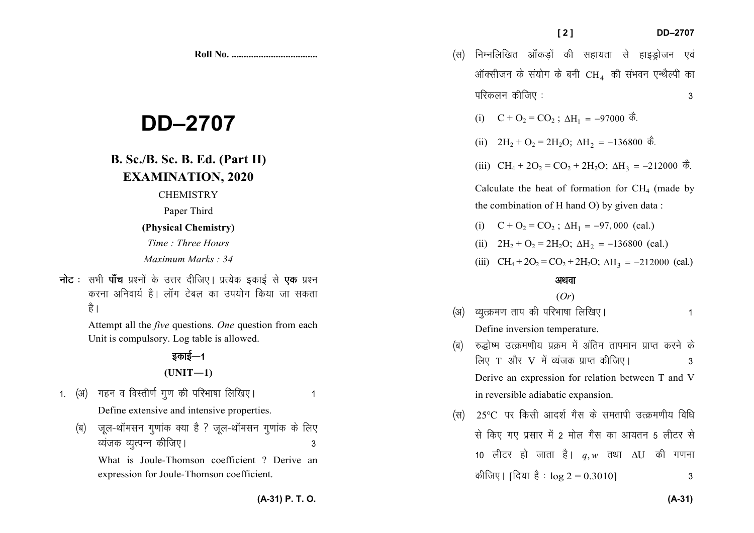|                                                                                        | (स)         | निम्नलिखित आँकड़ों की सहायता से हाइड्रोजन एवं<br>ऑक्सीजन के संयोग के बनी $\rm CH_{4}$ की संभवन एन्थैल्पी का<br>परिकलन कीजिए :<br>3                                                    |  |
|----------------------------------------------------------------------------------------|-------------|---------------------------------------------------------------------------------------------------------------------------------------------------------------------------------------|--|
| 2707                                                                                   |             | $C + O_2 = CO_2$ ; ∆H <sub>1</sub> = −97000 कै.<br>(i)<br>(ii) $2H_2 + O_2 = 2H_2O$ ; $\Delta H_2 = -136800 \text{ } \vec{\Phi}$ .                                                    |  |
| . Ed. (Part II)<br><b>FION, 2020</b>                                                   |             | (iii) $CH_4 + 2O_2 = CO_2 + 2H_2O$ ; $\Delta H_3 = -212000$ $\vec{\phi}$ .                                                                                                            |  |
| <b>STRY</b><br>Third                                                                   |             | Calculate the heat of formation for $CH4$ (made by<br>the combination of H hand O) by given data :                                                                                    |  |
| hemistry)                                                                              |             | $C + O_2 = CO_2$ ; $\Delta H_1 = -97,000$ (cal.)<br>(i)                                                                                                                               |  |
| ee Hours<br>Marks : 34                                                                 |             | $2H_2 + O_2 = 2H_2O$ ; $\Delta H_2 = -136800$ (cal.)<br>(ii)<br>(iii) $CH_4 + 2O_2 = CO_2 + 2H_2O$ ; $\Delta H_3 = -212000$ (cal.)                                                    |  |
| ोजिए। प्रत्येक इकाई से <b>एक</b> प्रश्न<br>बल का उपयोग किया जा सकता                    |             | अथवा<br>(Or)                                                                                                                                                                          |  |
| tions. One question from each<br>table is allowed.<br>$=1$                             | (3I)<br>(ৰ) | व्युत्क्रमण ताप की परिभाषा लिखिए।<br>1<br>Define inversion temperature.<br>रुद्धोष्म उत्क्रमणीय प्रक्रम में अंतिम तापमान प्राप्त करने के<br>लिए T और V में व्यंजक प्राप्त कीजिए।<br>3 |  |
| $[-1)$                                                                                 |             | Derive an expression for relation between T and V                                                                                                                                     |  |
| परिभाषा लिखिए।<br>$\mathbf{1}$<br>ntensive properties.<br>है ? जूल-थॉमसन गुणांक के लिए | (स)         | in reversible adiabatic expansion.<br>$25^{\circ}$ C पर किसी आदर्श गैस के समतापी उत्क्रमणीय विधि<br>से किए गए प्रसार में 2 मोल गैस का आयतन 5 लीटर से                                  |  |
| 3<br>son coefficient ? Derive an                                                       |             | 10 लीटर हो जाता है। $q, w$ तथा $\Delta U$ की गणना                                                                                                                                     |  |

कीजिए। [दिया है :  $\log 2 = 0.3010$ ]  $\mathbf{3}$ 

# **DD-27**

## **B. Sc./B. Sc. B. E. EXAMINATIO**

**CHEMIST** 

Paper Thir

#### (Physical Cher

Time: Three Maximum Mar

**नोट** : सभी **पाँच** प्रश्नों के उत्तर दीजि करना अनिवार्य है। लॉग टेबल है।

> Attempt all the *five* question Unit is compulsory. Log tabl

## इकाई—1

## $(UNIT-$

- 1. (अ) गहन व विस्तीर्ण गुण की परि Define extensive and inter
	- (ब) जूल-थॉमसन गुणांक क्या है व्यंजक व्युत्पन्न कीजिए।

What is Joule-Thomson coefficient ? Derive an expression for Joule-Thomson coefficient.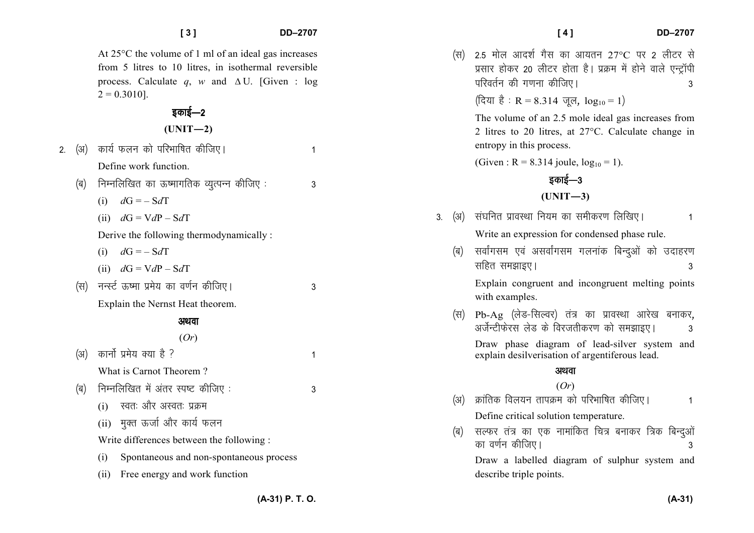$2. \quad (3)$ 

|     | At $25^{\circ}$ C the volume of 1 ml of an ideal gas increases<br>from 5 litres to 10 litres, in isothermal reversible<br>process. Calculate q, w and $\Delta U$ . [Given : log<br>$2 = 0.3010$ .<br>इकाई—2<br>$(UNIT-2)$ |   |    | (स) | 2.5 मोल आदर्श गैस का आयतन 27°C पर 2 लीटर से<br>प्रसार होकर 20 लीटर होता है। प्रक्रम में होने वाले एन्ट्रॉपी<br>परिवर्तन की गणना कीजिए।<br>(दिया है: R = 8.314 जूल, $log_{10} = 1$ )<br>The volume of an 2.5 mole ideal gas increases from<br>2 litres to 20 litres, at 27°C. Calculate change in |
|-----|---------------------------------------------------------------------------------------------------------------------------------------------------------------------------------------------------------------------------|---|----|-----|--------------------------------------------------------------------------------------------------------------------------------------------------------------------------------------------------------------------------------------------------------------------------------------------------|
| (अ) | कार्य फलन को परिभाषित कीजिए।                                                                                                                                                                                              | 1 |    |     | entropy in this process.                                                                                                                                                                                                                                                                         |
|     | Define work function.                                                                                                                                                                                                     |   |    |     | (Given : R = 8.314 joule, $log_{10} = 1$ ).                                                                                                                                                                                                                                                      |
| (ৰ) | निम्नलिखित का ऊष्मागतिक व्युत्पन्न कीजिए :                                                                                                                                                                                | 3 |    |     | इकाई—3                                                                                                                                                                                                                                                                                           |
|     | $dG = -SdT$<br>(i)                                                                                                                                                                                                        |   |    |     | $(UNIT-3)$                                                                                                                                                                                                                                                                                       |
|     | (ii) $dG = VdP - SdT$                                                                                                                                                                                                     |   | 3. | (अ) | संघनित प्रावस्था नियम का समीकरण लिखिए।                                                                                                                                                                                                                                                           |
|     | Derive the following thermodynamically:                                                                                                                                                                                   |   |    |     | Write an expression for condensed phase rule.                                                                                                                                                                                                                                                    |
|     | (i) $dG = -SdT$                                                                                                                                                                                                           |   |    | (ৰ) | सर्वांगसम एवं असर्वांगसम गलनांक बिन्दुओं को उदाहरण<br>सहित समझाइए।<br>3                                                                                                                                                                                                                          |
|     | (ii) $dG = VdP - SdT$                                                                                                                                                                                                     |   |    |     |                                                                                                                                                                                                                                                                                                  |
| (स) | नन्स्ट ऊष्मा प्रमेय का वर्णन कीजिए।                                                                                                                                                                                       | 3 |    |     | Explain congruent and incongruent melting points<br>with examples.                                                                                                                                                                                                                               |
|     | Explain the Nernst Heat theorem.                                                                                                                                                                                          |   |    | (स) | Pb-Ag (लेड-सिल्वर) तंत्र का प्रावस्था आरेख बनाकर,                                                                                                                                                                                                                                                |
|     | अथवा                                                                                                                                                                                                                      |   |    |     | अर्जेन्टीफेरस लेड के विरजतीकरण को समझाइए।<br>3                                                                                                                                                                                                                                                   |
|     | (Or)                                                                                                                                                                                                                      |   |    |     | Draw phase diagram of lead-silver system and                                                                                                                                                                                                                                                     |
| (अ) | कार्नो प्रमेय क्या है ?                                                                                                                                                                                                   | 1 |    |     | explain desilverisation of argentiferous lead.                                                                                                                                                                                                                                                   |
|     | What is Carnot Theorem?                                                                                                                                                                                                   |   |    |     | अथवा                                                                                                                                                                                                                                                                                             |
| (ब) | निम्नलिखित में अंतर स्पष्ट कीजिए:                                                                                                                                                                                         | 3 |    |     | (Or)                                                                                                                                                                                                                                                                                             |
|     | स्वतः और अस्वतः प्रक्रम<br>(i)                                                                                                                                                                                            |   |    | (अ) | क्रांतिक विलयन तापक्रम को परिभाषित कीजिए।<br>1                                                                                                                                                                                                                                                   |
|     | (ii) मुक्त ऊर्जा और कार्य फलन                                                                                                                                                                                             |   |    |     | Define critical solution temperature.                                                                                                                                                                                                                                                            |
|     | Write differences between the following :                                                                                                                                                                                 |   |    | (ৰ) | सल्फर तंत्र का एक नामांकित चित्र बनाकर त्रिक बिन्दुओं<br>का वर्णन कीजिए।                                                                                                                                                                                                                         |
|     | Spontaneous and non-spontaneous process<br>(i)                                                                                                                                                                            |   |    |     | Draw a labelled diagram of sulphur system and                                                                                                                                                                                                                                                    |
|     | (ii) Free energy and work function                                                                                                                                                                                        |   |    |     | describe triple points.                                                                                                                                                                                                                                                                          |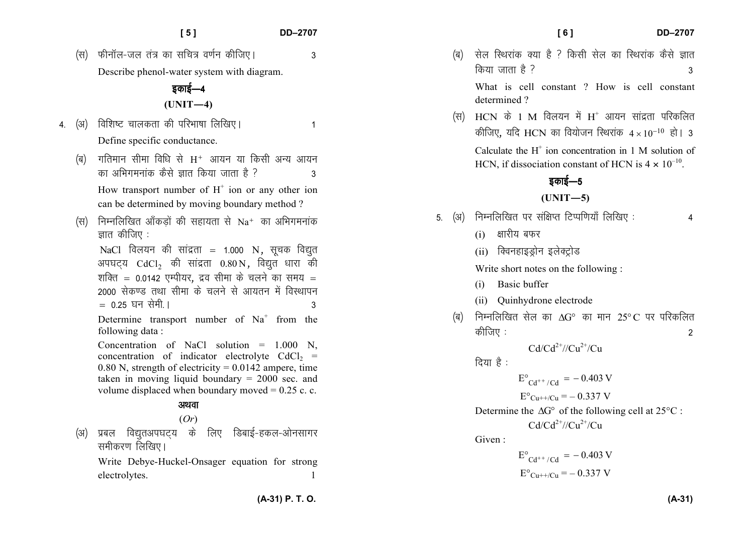(स) फीनॉल-जल तंत्र का सचित्र वर्णन कीजिए। 3 Describe phenol-water system with diagram.

## डकाई—4 **(UNIT—4)**

- 4- ¼v½ fof'k"V pkydrk dh ifjHkk"kk fyf[k,A 1 Define specific conductance.
	- (ब) गतिमान सीमा विधि से  $\rm H^+$  आयन या किसी अन्य आयन dk vfHkxeukad dSls Kkr fd;k tkrk gS \ 3 How transport number of  $H^+$  ion or any other ion can be determined by moving boundary method ?
	- (स) निम्नलिखित ऑकड़ों की सहायता से  $\rm Na^+$  का अभिगमनांक ज्ञात कीजिए $:$

NaCl विलयन की सांद्रता = 1.000 N, सूचक विद्युत अपघट्य  $\text{CdCl}_2$  की सांद्रता  $0.80 \text{ N}$ , विद्युत धारा की शक्ति = 0.0142 एम्पीयर, द्रव सीमा के चलने का समय = 2000 सेकण्ड तथा सीमा के चलने से आयतन में विस्थापन  $= 0.25$  घन सेमी ।  $= 3$ 

Determine transport number of  $Na<sup>+</sup>$  from the following data :

Concentration of NaCl solution  $= 1.000$  N, concentration of indicator electrolyte  $CdCl<sub>2</sub>$  = 0.80 N, strength of electricity =  $0.0142$  ampere, time taken in moving liquid boundary = 2000 sec. and volume displaced when boundary moved  $= 0.25$  c. c.

#### अथवा

### (*Or*)

(अ) प्रबल विद्युतअपघट्य के लिए डिबाई-हकल-ओनसागर समीकरण लिखिए।

Write Debye-Huckel-Onsager equation for strong electrolytes.

# (ब) सेल रिथरांक क्या है ? किसी सेल का रिथरांक कैसे ज्ञात

किया जाता है ?  $3<sub>3</sub>$ What is cell constant ? How is cell constant determined ?

(स)  $\rm\,HCN$  के 1 M विलयन में  $\rm H^+$  आयन सांद्रता परिकलित कीजिए, यदि HCN का वियोजन स्थिरांक  $4\times10^{-10}$  हो। 3 Calculate the  $H^+$  ion concentration in 1 M solution of HCN, if dissociation constant of HCN is  $4 \times 10^{-10}$ .

### डकाई—5

#### **(UNIT—5)**

- 5. (अ) निम्नलिखित पर संक्षिप्त टिप्पणियाँ लिखिए : 4
	- $(i)$  क्षारीय बफर
	- (ii) क्विनहाइड्रोन इलेक्ट्रोड

Write short notes on the following :

- (i) Basic buffer
- (ii) Quinhydrone electrode
- (ब)  $\,$  निम्नलिखित सेल का  $\Delta {\rm G}^{\circ} \,$  का मान  $\,25^{\circ}{\rm C}$  पर परिकलित कीजिए :  $\sim$  2

 $Cd/Cd^{2+}//Cu^{2+}/Cu$ 

दिया $\dot{\vec{B}}$ :

 $E^{\circ}_{Cd^{++}/Cd}$  = -0.403 V  $E^{\circ}$ Cu++/Cu = -0.337 V Determine the  $\Delta G^{\circ}$  of the following cell at 25 $^{\circ}$ C :  $Cd/Cd^{2+}//Cu^{2+}/Cu$ Given :